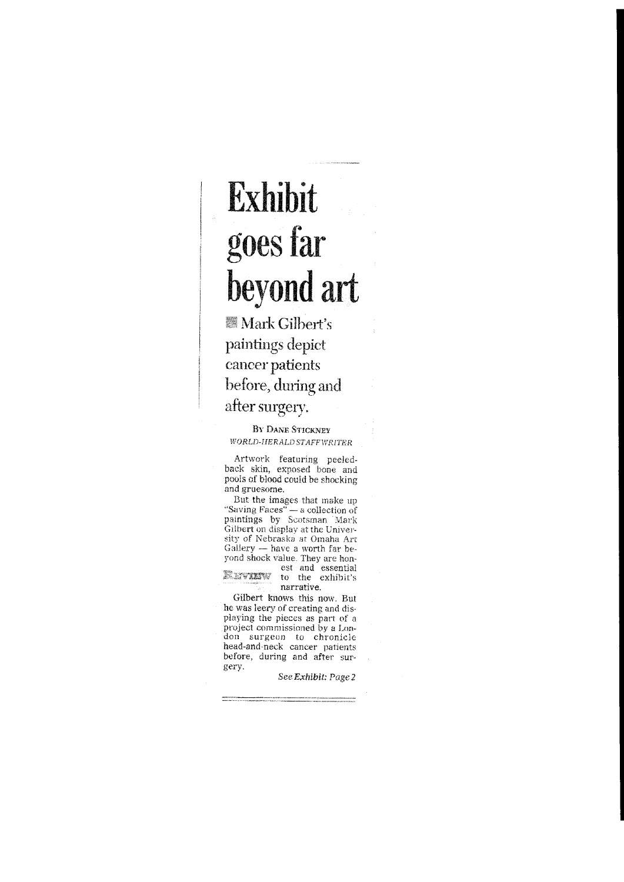## **Exhibit goes far beyond art**

**Mark Gilbert's** paintings depict cancer patients before, during and after surgery.

BY DANE STICKNEY WORLD-HERALD STAFF WRITER

Artwork featuring peeledback skin, exposed bone and pools of blood could be shocking and gruesome.

But the images that make up "Saving Faces" $-$  a collection of paintings by Scotsman Mark Gilbert on display at the Universitv of Nebraska at Omaha Art Gallery -- have a worth far beyond shock value. They are hon-

est and essential XXVYXXV to the exhibit's narrative.

Gilbert knows this now. But he was leery of creating and displaying the pieces as part of a project commissioned by a London surgeon to chronicle head-and·neck cancer patients before. during and after sur- **gery.** 

SeeExhibit: Page2